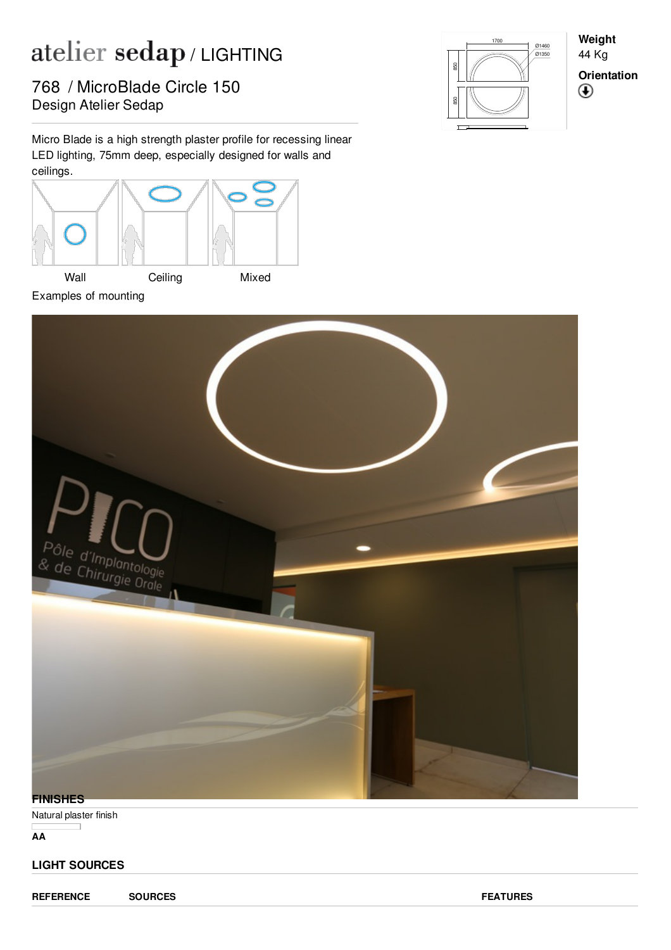## atelier sedap/LIGHTING

Pesign Atelier Sedap 768 / MicroBlade Circle 150

Micro Blade is a high strength plaster profile for recessing linear LED lighting, 75mm deep, especially designed for walls and ceilings.



Examples of mounting



**Weight** 44 Kg **Orientation** $\bigcirc$ 



Natural plaster finish

**AA**

## **LIGHT SOURCES**

**REFERENCE SOURCES FEATURES**